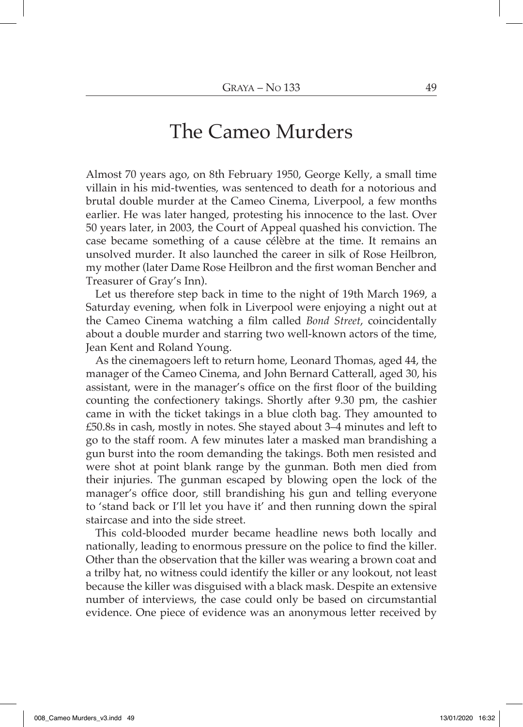## The Cameo Murders

Almost 70 years ago, on 8th February 1950, George Kelly, a small time villain in his mid-twenties, was sentenced to death for a notorious and brutal double murder at the Cameo Cinema, Liverpool, a few months earlier. He was later hanged, protesting his innocence to the last. Over 50 years later, in 2003, the Court of Appeal quashed his conviction. The case became something of a cause célèbre at the time. It remains an unsolved murder. It also launched the career in silk of Rose Heilbron, my mother (later Dame Rose Heilbron and the first woman Bencher and Treasurer of Gray's Inn).

Let us therefore step back in time to the night of 19th March 1969, a Saturday evening, when folk in Liverpool were enjoying a night out at the Cameo Cinema watching a film called *Bond Street*, coincidentally about a double murder and starring two well-known actors of the time, Jean Kent and Roland Young.

As the cinemagoers left to return home, Leonard Thomas, aged 44, the manager of the Cameo Cinema, and John Bernard Catterall, aged 30, his assistant, were in the manager's office on the first floor of the building counting the confectionery takings. Shortly after 9.30 pm, the cashier came in with the ticket takings in a blue cloth bag. They amounted to £50.8s in cash, mostly in notes. She stayed about 3–4 minutes and left to go to the staff room. A few minutes later a masked man brandishing a gun burst into the room demanding the takings. Both men resisted and were shot at point blank range by the gunman. Both men died from their injuries. The gunman escaped by blowing open the lock of the manager's office door, still brandishing his gun and telling everyone to 'stand back or I'll let you have it' and then running down the spiral staircase and into the side street.

This cold-blooded murder became headline news both locally and nationally, leading to enormous pressure on the police to find the killer. Other than the observation that the killer was wearing a brown coat and a trilby hat, no witness could identify the killer or any lookout, not least because the killer was disguised with a black mask. Despite an extensive number of interviews, the case could only be based on circumstantial evidence. One piece of evidence was an anonymous letter received by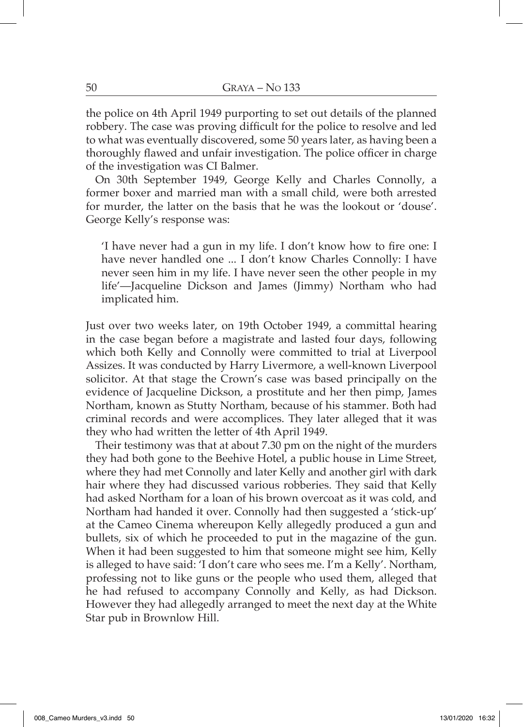the police on 4th April 1949 purporting to set out details of the planned robbery. The case was proving difficult for the police to resolve and led to what was eventually discovered, some 50 years later, as having been a thoroughly flawed and unfair investigation. The police officer in charge of the investigation was CI Balmer.

On 30th September 1949, George Kelly and Charles Connolly, a former boxer and married man with a small child, were both arrested for murder, the latter on the basis that he was the lookout or 'douse'. George Kelly's response was:

'I have never had a gun in my life. I don't know how to fire one: I have never handled one ... I don't know Charles Connolly: I have never seen him in my life. I have never seen the other people in my life'—Jacqueline Dickson and James (Jimmy) Northam who had implicated him.

Just over two weeks later, on 19th October 1949, a committal hearing in the case began before a magistrate and lasted four days, following which both Kelly and Connolly were committed to trial at Liverpool Assizes. It was conducted by Harry Livermore, a well-known Liverpool solicitor. At that stage the Crown's case was based principally on the evidence of Jacqueline Dickson, a prostitute and her then pimp, James Northam, known as Stutty Northam, because of his stammer. Both had criminal records and were accomplices. They later alleged that it was they who had written the letter of 4th April 1949.

Their testimony was that at about 7.30 pm on the night of the murders they had both gone to the Beehive Hotel, a public house in Lime Street, where they had met Connolly and later Kelly and another girl with dark hair where they had discussed various robberies. They said that Kelly had asked Northam for a loan of his brown overcoat as it was cold, and Northam had handed it over. Connolly had then suggested a 'stick-up' at the Cameo Cinema whereupon Kelly allegedly produced a gun and bullets, six of which he proceeded to put in the magazine of the gun. When it had been suggested to him that someone might see him, Kelly is alleged to have said: 'I don't care who sees me. I'm a Kelly'. Northam, professing not to like guns or the people who used them, alleged that he had refused to accompany Connolly and Kelly, as had Dickson. However they had allegedly arranged to meet the next day at the White Star pub in Brownlow Hill.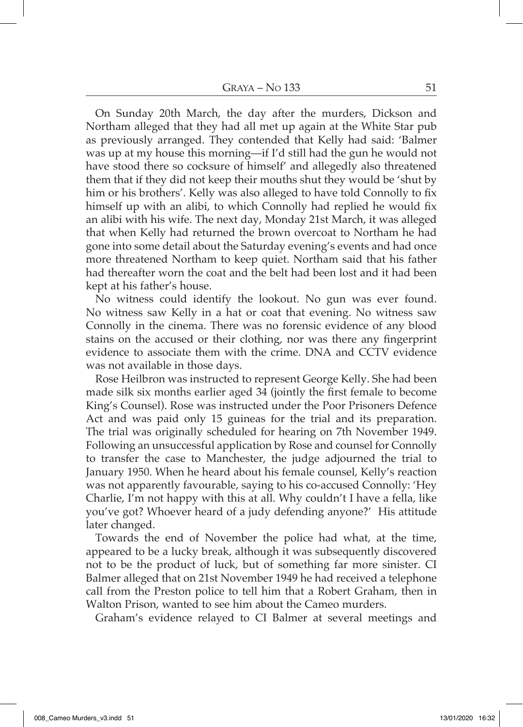On Sunday 20th March, the day after the murders, Dickson and Northam alleged that they had all met up again at the White Star pub as previously arranged. They contended that Kelly had said: 'Balmer was up at my house this morning—if I'd still had the gun he would not have stood there so cocksure of himself' and allegedly also threatened them that if they did not keep their mouths shut they would be 'shut by him or his brothers'. Kelly was also alleged to have told Connolly to fix himself up with an alibi, to which Connolly had replied he would fix an alibi with his wife. The next day, Monday 21st March, it was alleged that when Kelly had returned the brown overcoat to Northam he had gone into some detail about the Saturday evening's events and had once more threatened Northam to keep quiet. Northam said that his father had thereafter worn the coat and the belt had been lost and it had been kept at his father's house.

No witness could identify the lookout. No gun was ever found. No witness saw Kelly in a hat or coat that evening. No witness saw Connolly in the cinema. There was no forensic evidence of any blood stains on the accused or their clothing, nor was there any fingerprint evidence to associate them with the crime. DNA and CCTV evidence was not available in those days.

Rose Heilbron was instructed to represent George Kelly. She had been made silk six months earlier aged 34 (jointly the first female to become King's Counsel). Rose was instructed under the Poor Prisoners Defence Act and was paid only 15 guineas for the trial and its preparation. The trial was originally scheduled for hearing on 7th November 1949. Following an unsuccessful application by Rose and counsel for Connolly to transfer the case to Manchester, the judge adjourned the trial to January 1950. When he heard about his female counsel, Kelly's reaction was not apparently favourable, saying to his co-accused Connolly: 'Hey Charlie, I'm not happy with this at all. Why couldn't I have a fella, like you've got? Whoever heard of a judy defending anyone?' His attitude later changed.

Towards the end of November the police had what, at the time, appeared to be a lucky break, although it was subsequently discovered not to be the product of luck, but of something far more sinister. CI Balmer alleged that on 21st November 1949 he had received a telephone call from the Preston police to tell him that a Robert Graham, then in Walton Prison, wanted to see him about the Cameo murders.

Graham's evidence relayed to CI Balmer at several meetings and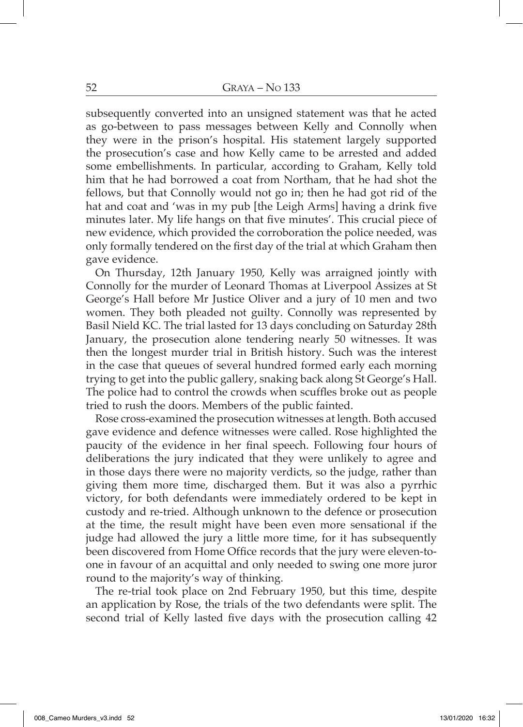subsequently converted into an unsigned statement was that he acted as go-between to pass messages between Kelly and Connolly when they were in the prison's hospital. His statement largely supported the prosecution's case and how Kelly came to be arrested and added some embellishments. In particular, according to Graham, Kelly told him that he had borrowed a coat from Northam, that he had shot the fellows, but that Connolly would not go in; then he had got rid of the hat and coat and 'was in my pub [the Leigh Arms] having a drink five minutes later. My life hangs on that five minutes'. This crucial piece of new evidence, which provided the corroboration the police needed, was only formally tendered on the first day of the trial at which Graham then gave evidence.

On Thursday, 12th January 1950, Kelly was arraigned jointly with Connolly for the murder of Leonard Thomas at Liverpool Assizes at St George's Hall before Mr Justice Oliver and a jury of 10 men and two women. They both pleaded not guilty. Connolly was represented by Basil Nield KC. The trial lasted for 13 days concluding on Saturday 28th January, the prosecution alone tendering nearly 50 witnesses. It was then the longest murder trial in British history. Such was the interest in the case that queues of several hundred formed early each morning trying to get into the public gallery, snaking back along St George's Hall. The police had to control the crowds when scuffles broke out as people tried to rush the doors. Members of the public fainted.

Rose cross-examined the prosecution witnesses at length. Both accused gave evidence and defence witnesses were called. Rose highlighted the paucity of the evidence in her final speech. Following four hours of deliberations the jury indicated that they were unlikely to agree and in those days there were no majority verdicts, so the judge, rather than giving them more time, discharged them. But it was also a pyrrhic victory, for both defendants were immediately ordered to be kept in custody and re-tried. Although unknown to the defence or prosecution at the time, the result might have been even more sensational if the judge had allowed the jury a little more time, for it has subsequently been discovered from Home Office records that the jury were eleven-toone in favour of an acquittal and only needed to swing one more juror round to the majority's way of thinking.

The re-trial took place on 2nd February 1950, but this time, despite an application by Rose, the trials of the two defendants were split. The second trial of Kelly lasted five days with the prosecution calling 42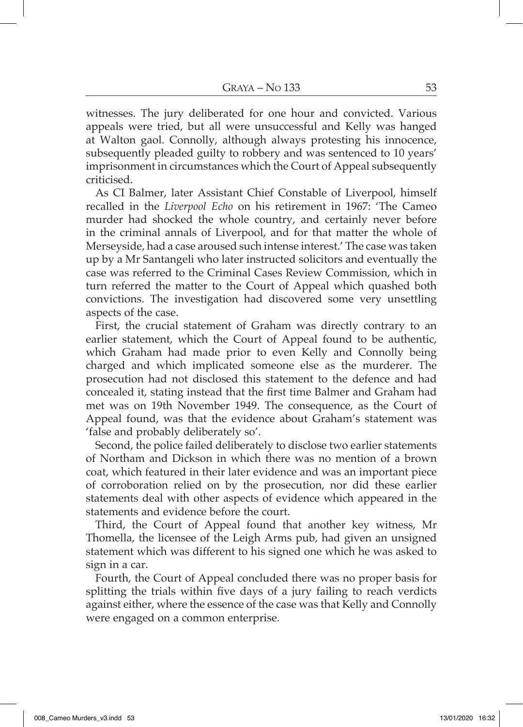witnesses. The jury deliberated for one hour and convicted. Various appeals were tried, but all were unsuccessful and Kelly was hanged at Walton gaol. Connolly, although always protesting his innocence, subsequently pleaded guilty to robbery and was sentenced to 10 years' imprisonment in circumstances which the Court of Appeal subsequently criticised.

As CI Balmer, later Assistant Chief Constable of Liverpool, himself recalled in the *Liverpool Echo* on his retirement in 1967: 'The Cameo murder had shocked the whole country, and certainly never before in the criminal annals of Liverpool, and for that matter the whole of Merseyside, had a case aroused such intense interest.' The case was taken up by a Mr Santangeli who later instructed solicitors and eventually the case was referred to the Criminal Cases Review Commission, which in turn referred the matter to the Court of Appeal which quashed both convictions. The investigation had discovered some very unsettling aspects of the case.

First, the crucial statement of Graham was directly contrary to an earlier statement, which the Court of Appeal found to be authentic, which Graham had made prior to even Kelly and Connolly being charged and which implicated someone else as the murderer. The prosecution had not disclosed this statement to the defence and had concealed it, stating instead that the first time Balmer and Graham had met was on 19th November 1949. The consequence, as the Court of Appeal found, was that the evidence about Graham's statement was 'false and probably deliberately so'.

Second, the police failed deliberately to disclose two earlier statements of Northam and Dickson in which there was no mention of a brown coat, which featured in their later evidence and was an important piece of corroboration relied on by the prosecution, nor did these earlier statements deal with other aspects of evidence which appeared in the statements and evidence before the court.

Third, the Court of Appeal found that another key witness, Mr Thomella, the licensee of the Leigh Arms pub, had given an unsigned statement which was different to his signed one which he was asked to sign in a car.

Fourth, the Court of Appeal concluded there was no proper basis for splitting the trials within five days of a jury failing to reach verdicts against either, where the essence of the case was that Kelly and Connolly were engaged on a common enterprise.